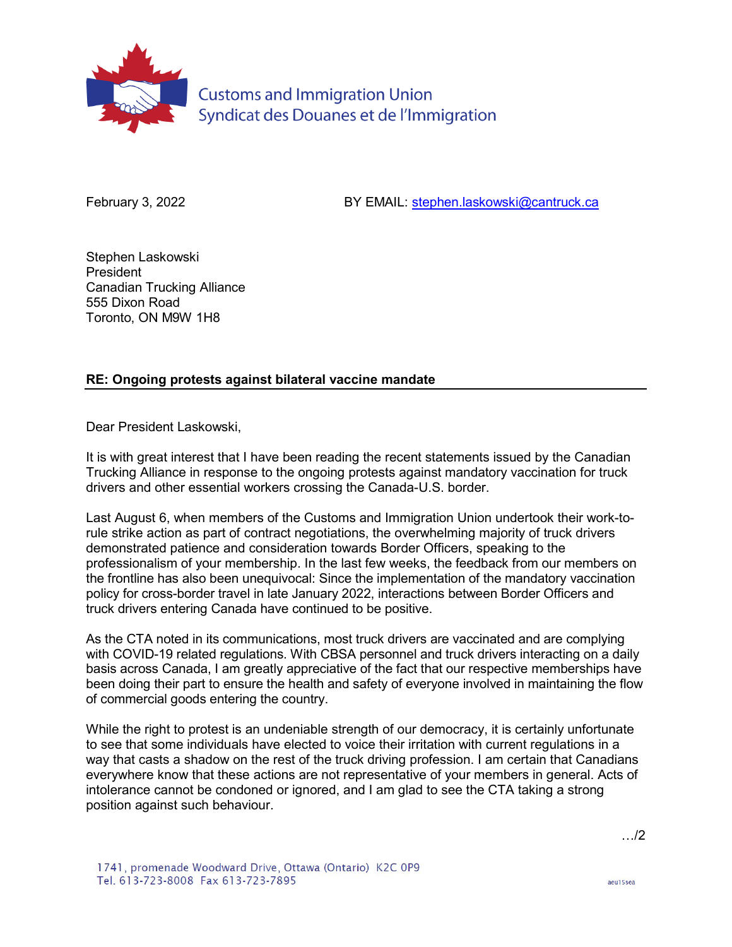

**Customs and Immigration Union** Syndicat des Douanes et de l'Immigration

February 3, 2022 **BY EMAIL:** [stephen.laskowski@cantruck.ca](mailto:stephen.laskowski@cantruck.ca)

Stephen Laskowski President Canadian Trucking Alliance 555 Dixon Road Toronto, ON M9W 1H8

## **RE: Ongoing protests against bilateral vaccine mandate**

Dear President Laskowski,

It is with great interest that I have been reading the recent statements issued by the Canadian Trucking Alliance in response to the ongoing protests against mandatory vaccination for truck drivers and other essential workers crossing the Canada-U.S. border.

Last August 6, when members of the Customs and Immigration Union undertook their work-torule strike action as part of contract negotiations, the overwhelming majority of truck drivers demonstrated patience and consideration towards Border Officers, speaking to the professionalism of your membership. In the last few weeks, the feedback from our members on the frontline has also been unequivocal: Since the implementation of the mandatory vaccination policy for cross-border travel in late January 2022, interactions between Border Officers and truck drivers entering Canada have continued to be positive.

As the CTA noted in its communications, most truck drivers are vaccinated and are complying with COVID-19 related regulations. With CBSA personnel and truck drivers interacting on a daily basis across Canada, I am greatly appreciative of the fact that our respective memberships have been doing their part to ensure the health and safety of everyone involved in maintaining the flow of commercial goods entering the country.

While the right to protest is an undeniable strength of our democracy, it is certainly unfortunate to see that some individuals have elected to voice their irritation with current regulations in a way that casts a shadow on the rest of the truck driving profession. I am certain that Canadians everywhere know that these actions are not representative of your members in general. Acts of intolerance cannot be condoned or ignored, and I am glad to see the CTA taking a strong position against such behaviour.

…/2